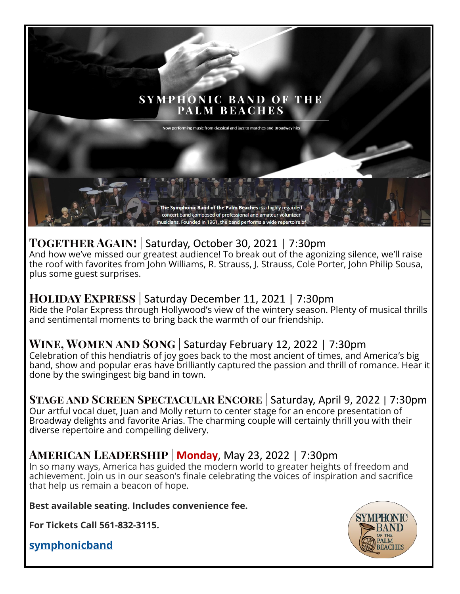## **SYMPHONIC BAND OF THE** PALM BEACHES

Now performing music from classical and jazz to marches and Broadway h

### **Together Again!** | Saturday, October 30, 2021 | 7:30pm

And how we've missed our greatest audience! To break out of the agonizing silence, we'll raise the roof with favorites from John Williams, R. Strauss, J. Strauss, Cole Porter, John Philip Sousa, plus some guest surprises.

T**he Symphonic Band of the Palm Beaches** is a highly regarded concert band composed of professional and amateur volunteer musicians. Founded in 1961, the band performs a wide repertoire

#### **Holiday Express** | Saturday December 11, 2021 | 7:30pm

Ride the Polar Express through Hollywood's view of the wintery season. Plenty of musical thrills and sentimental moments to bring back the warmth of our friendship.

# **Wine, Women and Song** | Saturday February 12, 2022 | 7:30pm

Celebration of this hendiatris of joy goes back to the most ancient of times, and America's big band, show and popular eras have brilliantly captured the passion and thrill of romance. Hear it done by the swingingest big band in town.

## **Stage and Screen Spectacular Encore** | Saturday, April 9, 2022 | 7:30pm

Our artful vocal duet, Juan and Molly return to center stage for an encore presentation of Broadway delights and favorite Arias. The charming couple will certainly thrill you with their diverse repertoire and compelling delivery.

# **American Leadership** | **Monday**, May 23, 2022 | 7:30pm

In so many ways, America has guided the modern world to greater heights of freedom and achievement. Join us in our season's finale celebrating the voices of inspiration and sacrifice that help us remain a beacon of hope.

**Best available seating. Includes convenience fee.** 

**For Tickets Call 561-832-3115.**

**[symphonicband](https://symphonicband.org/about-us/)**